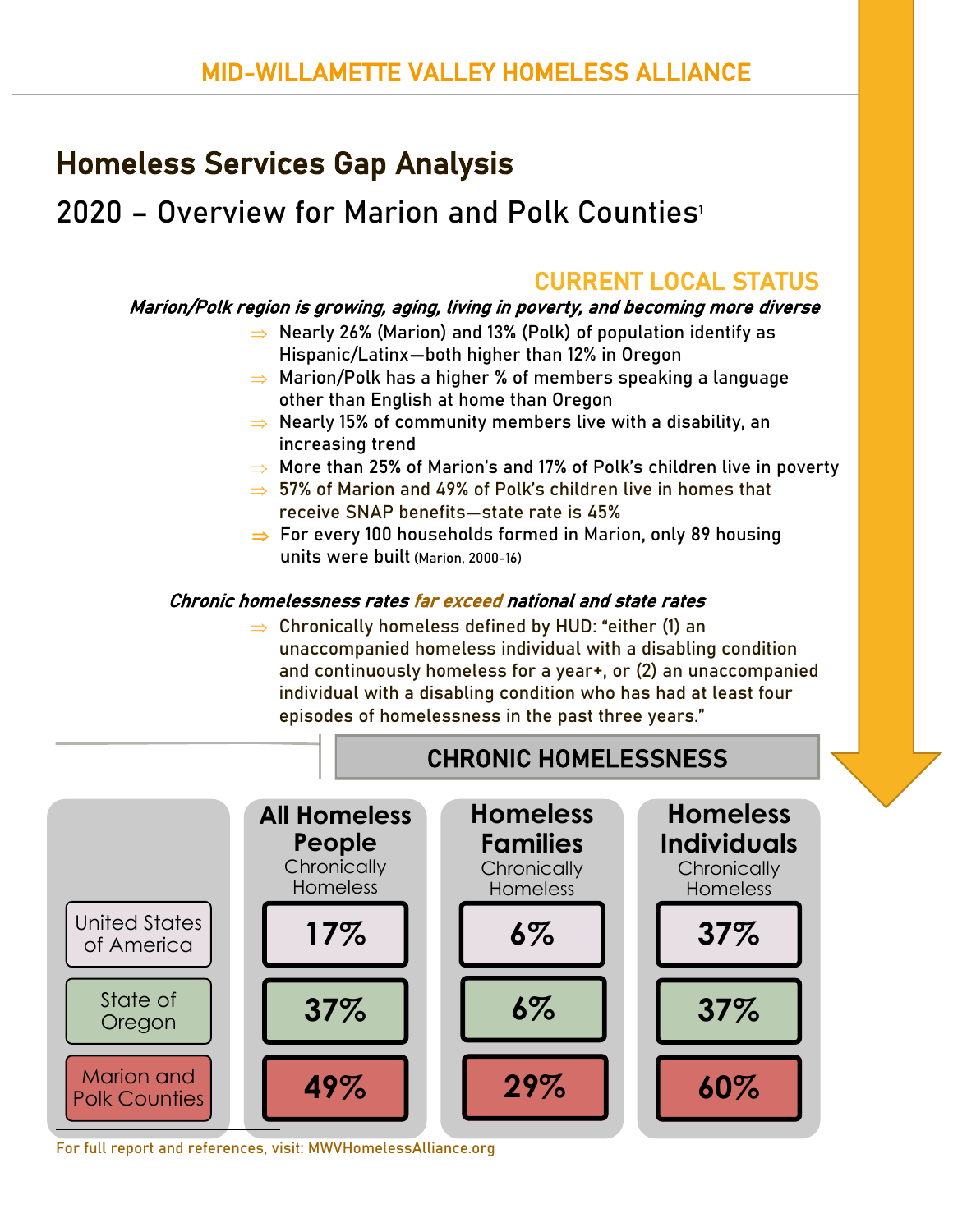# Homeless Services Gap Analysis

# 2020 – Overview for Marion and Polk Counties<sup>1</sup>

## CURRENT LOCAL STATUS

#### Marion/Polk region is growing, aging, living in poverty, and becoming more diverse

- $\Rightarrow$  Nearly 26% (Marion) and 13% (Polk) of population identify as Hispanic/Latinx—both higher than 12% in Oregon
- $\Rightarrow$  Marion/Polk has a higher % of members speaking a language other than English at home than Oregon
- $\Rightarrow$  Nearly 15% of community members live with a disability, an increasing trend
- $\Rightarrow$  More than 25% of Marion's and 17% of Polk's children live in poverty
- $\Rightarrow$  57% of Marion and 49% of Polk's children live in homes that receive SNAP benefits—state rate is 45%
- $\Rightarrow$  For every 100 households formed in Marion, only 89 housing units were built (Marion, 2000-16)

#### Chronic homelessness rates far exceed national and state rates

 $\Rightarrow$  Chronically homeless defined by HUD: "either (1) an unaccompanied homeless individual with a disabling condition and continuously homeless for a year+, or (2) an unaccompanied individual with a disabling condition who has had at least four episodes of homelessness in the past three years."



For full report and references, visit: MWVHomelessAlliance.org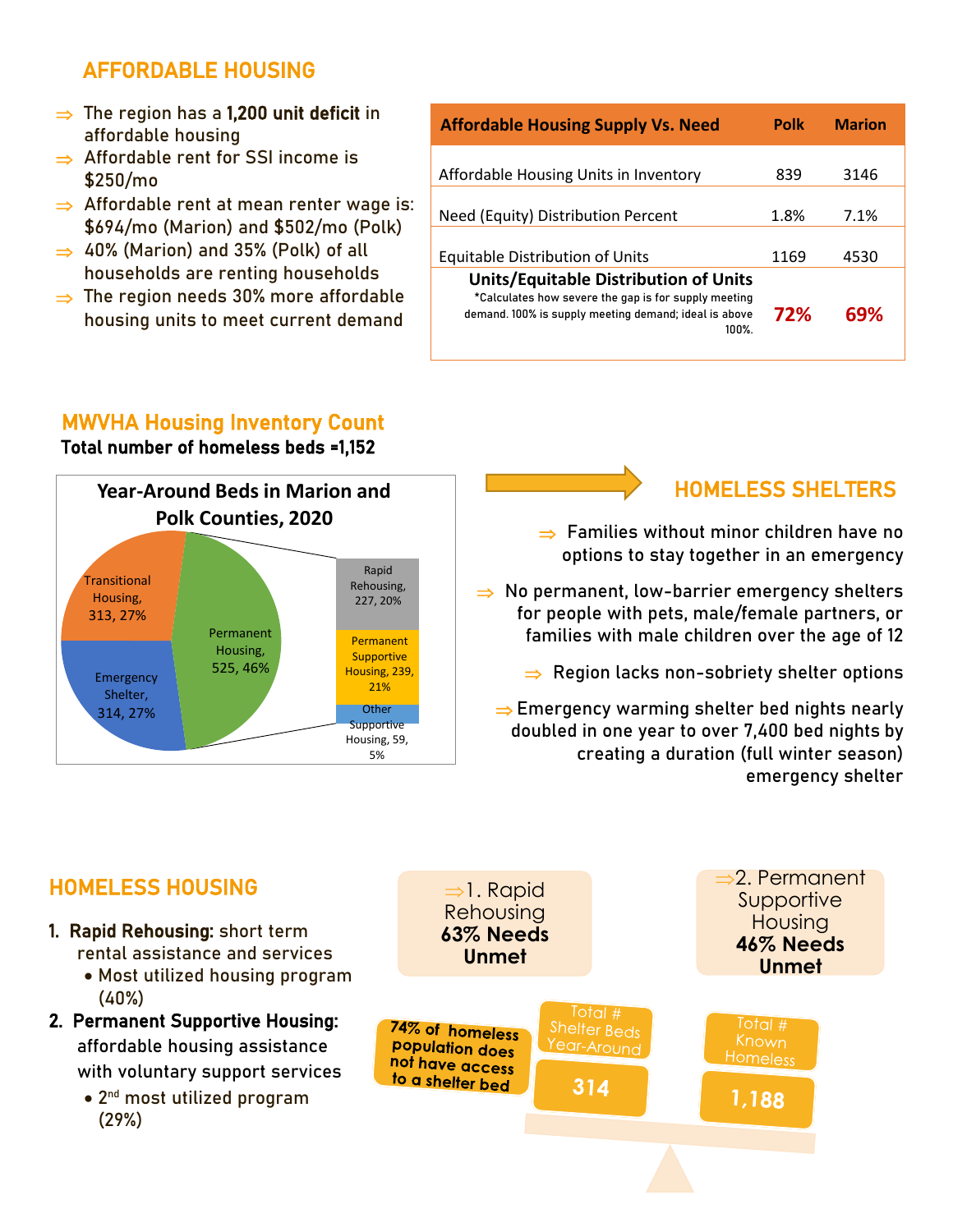### AFFORDABLE HOUSING

- $\Rightarrow$  The region has a 1,200 unit deficit in affordable housing
- $\Rightarrow$  Affordable rent for SSI income is \$250/mo
- $\Rightarrow$  Affordable rent at mean renter wage is: \$694/mo (Marion) and \$502/mo (Polk)
- $\Rightarrow$  40% (Marion) and 35% (Polk) of all households are renting households
- $\Rightarrow$  The region needs 30% more affordable housing units to meet current demand

| <b>Affordable Housing Supply Vs. Need</b>                                                                                                                             | Polk | <b>Marion</b> |
|-----------------------------------------------------------------------------------------------------------------------------------------------------------------------|------|---------------|
| Affordable Housing Units in Inventory                                                                                                                                 | 839  | 3146          |
| Need (Equity) Distribution Percent                                                                                                                                    | 1.8% | 7.1%          |
| <b>Equitable Distribution of Units</b>                                                                                                                                | 1169 | 4530          |
| <b>Units/Equitable Distribution of Units</b><br>*Calculates how severe the gap is for supply meeting<br>demand. 100% is supply meeting demand; ideal is above<br>100% | 72%  | 69%           |

### MWVHA Housing Inventory Count

Total number of homeless beds =1,152



## HOMELESS SHELTERS

- $\Rightarrow$  Families without minor children have no options to stay together in an emergency
- $\Rightarrow$  No permanent, low-barrier emergency shelters for people with pets, male/female partners, or families with male children over the age of 12
	- $\Rightarrow$  Region lacks non-sobriety shelter options

 $\Rightarrow$  Emergency warming shelter bed nights nearly doubled in one year to over 7,400 bed nights by creating a duration (full winter season) emergency shelter